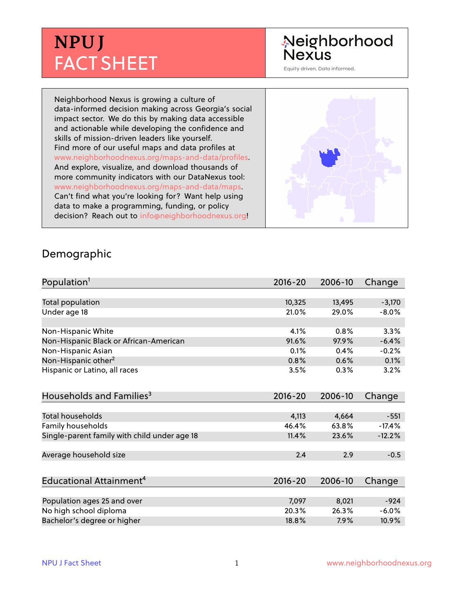## **NPU J** FACT SHEET

# Neighborhood<br>Nexus

Equity driven. Data informed.

Neighborhood Nexus is growing a culture of data-informed decision making across Georgia's social impact sector. We do this by making data accessible and actionable while developing the confidence and skills of mission-driven leaders like yourself. Find more of our useful maps and data profiles at www.neighborhoodnexus.org/maps-and-data/profiles. And explore, visualize, and download thousands of more community indicators with our DataNexus tool: www.neighborhoodnexus.org/maps-and-data/maps. Can't find what you're looking for? Want help using data to make a programming, funding, or policy decision? Reach out to [info@neighborhoodnexus.org!](mailto:info@neighborhoodnexus.org)



#### Demographic

| Population <sup>1</sup>                      | $2016 - 20$ | 2006-10 | Change   |
|----------------------------------------------|-------------|---------|----------|
|                                              |             |         |          |
| <b>Total population</b>                      | 10,325      | 13,495  | $-3,170$ |
| Under age 18                                 | 21.0%       | 29.0%   | $-8.0%$  |
|                                              |             |         |          |
| Non-Hispanic White                           | 4.1%        | 0.8%    | 3.3%     |
| Non-Hispanic Black or African-American       | 91.6%       | 97.9%   | $-6.4%$  |
| Non-Hispanic Asian                           | 0.1%        | 0.4%    | $-0.2%$  |
| Non-Hispanic other <sup>2</sup>              | 0.8%        | 0.6%    | 0.1%     |
| Hispanic or Latino, all races                | 3.5%        | 0.3%    | 3.2%     |
| Households and Families <sup>3</sup>         | $2016 - 20$ | 2006-10 | Change   |
|                                              |             |         |          |
| <b>Total households</b>                      | 4,113       | 4,664   | $-551$   |
| Family households                            | 46.4%       | 63.8%   | $-17.4%$ |
| Single-parent family with child under age 18 | 11.4%       | 23.6%   | $-12.2%$ |
| Average household size                       | 2.4         | 2.9     | $-0.5$   |
|                                              |             |         |          |
| Educational Attainment <sup>4</sup>          | $2016 - 20$ | 2006-10 | Change   |
|                                              |             |         |          |
| Population ages 25 and over                  | 7,097       | 8,021   | $-924$   |
| No high school diploma                       | 20.3%       | 26.3%   | $-6.0%$  |
| Bachelor's degree or higher                  | 18.8%       | 7.9%    | 10.9%    |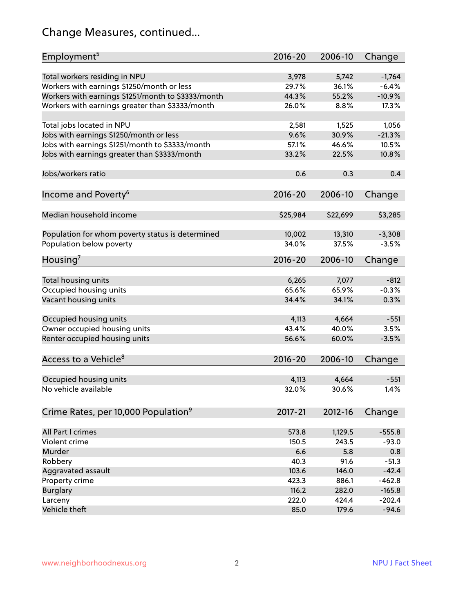#### Change Measures, continued...

| Employment <sup>5</sup>                            | $2016 - 20$ | 2006-10  | Change   |
|----------------------------------------------------|-------------|----------|----------|
|                                                    |             |          |          |
| Total workers residing in NPU                      | 3,978       | 5,742    | $-1,764$ |
| Workers with earnings \$1250/month or less         | 29.7%       | 36.1%    | $-6.4%$  |
| Workers with earnings \$1251/month to \$3333/month | 44.3%       | 55.2%    | $-10.9%$ |
| Workers with earnings greater than \$3333/month    | 26.0%       | 8.8%     | 17.3%    |
| Total jobs located in NPU                          | 2,581       | 1,525    | 1,056    |
| Jobs with earnings \$1250/month or less            | 9.6%        | 30.9%    | $-21.3%$ |
| Jobs with earnings \$1251/month to \$3333/month    | 57.1%       | 46.6%    | 10.5%    |
| Jobs with earnings greater than \$3333/month       | 33.2%       | 22.5%    | 10.8%    |
|                                                    |             |          |          |
| Jobs/workers ratio                                 | 0.6         | 0.3      | 0.4      |
|                                                    | $2016 - 20$ | 2006-10  | Change   |
| Income and Poverty <sup>6</sup>                    |             |          |          |
| Median household income                            | \$25,984    | \$22,699 | \$3,285  |
|                                                    |             |          |          |
| Population for whom poverty status is determined   | 10,002      | 13,310   | $-3,308$ |
| Population below poverty                           | 34.0%       | 37.5%    | $-3.5%$  |
| Housing <sup>7</sup>                               | 2016-20     | 2006-10  | Change   |
|                                                    |             |          |          |
| Total housing units                                | 6,265       | 7,077    | $-812$   |
| Occupied housing units                             | 65.6%       | 65.9%    | $-0.3%$  |
| Vacant housing units                               | 34.4%       | 34.1%    | 0.3%     |
| Occupied housing units                             | 4,113       | 4,664    | $-551$   |
| Owner occupied housing units                       | 43.4%       | 40.0%    | 3.5%     |
|                                                    | 56.6%       | 60.0%    | $-3.5%$  |
| Renter occupied housing units                      |             |          |          |
| Access to a Vehicle <sup>8</sup>                   | $2016 - 20$ | 2006-10  | Change   |
|                                                    |             |          |          |
| Occupied housing units                             | 4,113       | 4,664    | $-551$   |
| No vehicle available                               | 32.0%       | 30.6%    | 1.4%     |
|                                                    |             |          |          |
| Crime Rates, per 10,000 Population <sup>9</sup>    | 2017-21     | 2012-16  | Change   |
| All Part I crimes                                  |             |          |          |
|                                                    | 573.8       | 1,129.5  | $-555.8$ |
| Violent crime                                      | 150.5       | 243.5    | $-93.0$  |
| Murder                                             | 6.6         | 5.8      | 0.8      |
| Robbery                                            | 40.3        | 91.6     | $-51.3$  |
| Aggravated assault                                 | 103.6       | 146.0    | $-42.4$  |
| Property crime                                     | 423.3       | 886.1    | $-462.8$ |
| <b>Burglary</b>                                    | 116.2       | 282.0    | $-165.8$ |
| Larceny                                            | 222.0       | 424.4    | $-202.4$ |
| Vehicle theft                                      | 85.0        | 179.6    | $-94.6$  |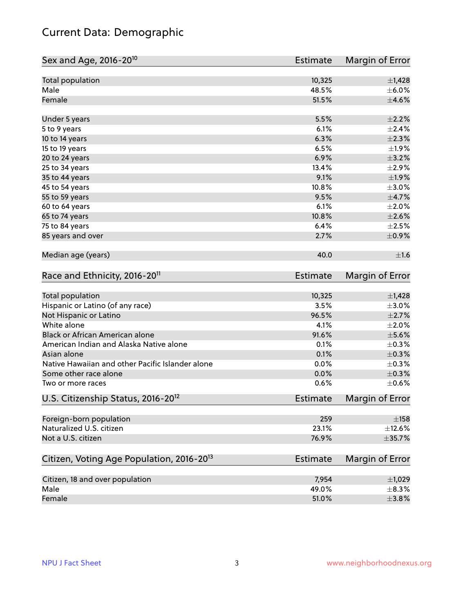#### Current Data: Demographic

| Sex and Age, 2016-20 <sup>10</sup>                    | Estimate        | Margin of Error |
|-------------------------------------------------------|-----------------|-----------------|
| Total population                                      | 10,325          | $\pm$ 1,428     |
| Male                                                  | 48.5%           | $\pm$ 6.0%      |
| Female                                                | 51.5%           | $\pm 4.6\%$     |
| Under 5 years                                         | 5.5%            | $\pm 2.2\%$     |
| 5 to 9 years                                          | 6.1%            | ±2.4%           |
| 10 to 14 years                                        | 6.3%            | $\pm 2.3\%$     |
| 15 to 19 years                                        | 6.5%            | ±1.9%           |
| 20 to 24 years                                        | 6.9%            | $\pm$ 3.2%      |
| 25 to 34 years                                        | 13.4%           | $\pm 2.9\%$     |
| 35 to 44 years                                        | 9.1%            | $\pm 1.9\%$     |
| 45 to 54 years                                        | 10.8%           | $\pm 3.0\%$     |
| 55 to 59 years                                        | 9.5%            | $\pm$ 4.7%      |
| 60 to 64 years                                        | 6.1%            | $\pm 2.0\%$     |
| 65 to 74 years                                        | 10.8%           | $\pm 2.6\%$     |
| 75 to 84 years                                        | 6.4%            | $\pm 2.5\%$     |
| 85 years and over                                     | 2.7%            | $\pm$ 0.9%      |
| Median age (years)                                    | 40.0            | ±1.6            |
| Race and Ethnicity, 2016-20 <sup>11</sup>             | <b>Estimate</b> | Margin of Error |
| Total population                                      | 10,325          | $\pm$ 1,428     |
| Hispanic or Latino (of any race)                      | 3.5%            | $\pm 3.0\%$     |
| Not Hispanic or Latino                                | 96.5%           | $\pm 2.7\%$     |
| White alone                                           | 4.1%            | $\pm 2.0\%$     |
| Black or African American alone                       | 91.6%           | $\pm$ 5.6%      |
| American Indian and Alaska Native alone               | 0.1%            | $\pm$ 0.3%      |
| Asian alone                                           | 0.1%            | $\pm$ 0.3%      |
| Native Hawaiian and other Pacific Islander alone      | 0.0%            | $\pm$ 0.3%      |
| Some other race alone                                 | 0.0%            | $\pm$ 0.3%      |
| Two or more races                                     | 0.6%            | $\pm$ 0.6%      |
| U.S. Citizenship Status, 2016-20 <sup>12</sup>        | <b>Estimate</b> | Margin of Error |
| Foreign-born population                               | 259             | $\pm$ 158       |
| Naturalized U.S. citizen                              | 23.1%           | $\pm$ 12.6%     |
| Not a U.S. citizen                                    | 76.9%           | $\pm$ 35.7%     |
| Citizen, Voting Age Population, 2016-20 <sup>13</sup> | <b>Estimate</b> | Margin of Error |
| Citizen, 18 and over population                       | 7,954           | ±1,029          |
| Male                                                  | 49.0%           | $\pm$ 8.3%      |
| Female                                                | 51.0%           | ±3.8%           |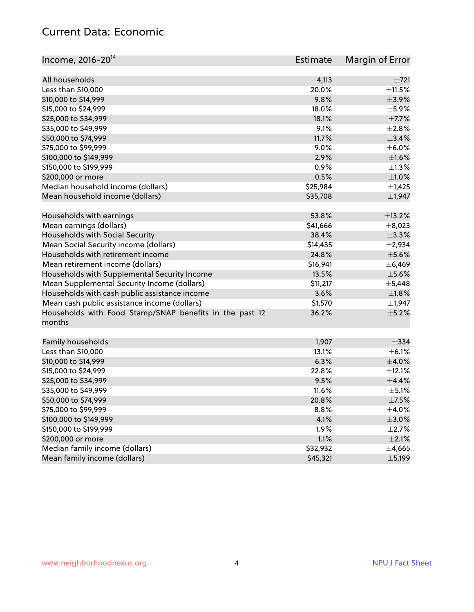#### Current Data: Economic

| Income, 2016-20 <sup>14</sup>                           | Estimate | Margin of Error |
|---------------------------------------------------------|----------|-----------------|
|                                                         |          |                 |
| All households                                          | 4,113    | ±721            |
| Less than \$10,000                                      | 20.0%    | $\pm$ 11.5%     |
| \$10,000 to \$14,999                                    | 9.8%     | ±3.9%           |
| \$15,000 to \$24,999                                    | 18.0%    | $\pm$ 5.9%      |
| \$25,000 to \$34,999                                    | 18.1%    | $\pm$ 7.7%      |
| \$35,000 to \$49,999                                    | 9.1%     | $\pm 2.8\%$     |
| \$50,000 to \$74,999                                    | 11.7%    | $\pm$ 3.4%      |
| \$75,000 to \$99,999                                    | 9.0%     | $\pm$ 6.0%      |
| \$100,000 to \$149,999                                  | 2.9%     | $\pm1.6\%$      |
| \$150,000 to \$199,999                                  | 0.9%     | $\pm 1.3\%$     |
| \$200,000 or more                                       | 0.5%     | $\pm 1.0\%$     |
| Median household income (dollars)                       | \$25,984 | $\pm$ 1,425     |
| Mean household income (dollars)                         | \$35,708 | ±1,947          |
| Households with earnings                                | 53.8%    | $\pm$ 13.2%     |
| Mean earnings (dollars)                                 | \$41,666 | $\pm$ 8,023     |
| Households with Social Security                         | 38.4%    | $\pm$ 3.3%      |
| Mean Social Security income (dollars)                   | \$14,435 | ±2,934          |
| Households with retirement income                       | 24.8%    | $\pm$ 5.6%      |
| Mean retirement income (dollars)                        | \$16,941 | ±6,469          |
| Households with Supplemental Security Income            | 13.5%    | $\pm$ 5.6%      |
| Mean Supplemental Security Income (dollars)             | \$11,217 | ±5,448          |
| Households with cash public assistance income           | 3.6%     | ±1.8%           |
| Mean cash public assistance income (dollars)            | \$1,570  | $\pm$ 1,947     |
| Households with Food Stamp/SNAP benefits in the past 12 | 36.2%    | $\pm$ 5.2%      |
| months                                                  |          |                 |
| Family households                                       | 1,907    | $\pm$ 334       |
| Less than \$10,000                                      | 13.1%    | $\pm$ 6.1%      |
| \$10,000 to \$14,999                                    | 6.3%     | $\pm$ 4.0%      |
| \$15,000 to \$24,999                                    | 22.8%    | ±12.1%          |
| \$25,000 to \$34,999                                    | 9.5%     | ±4.4%           |
| \$35,000 to \$49,999                                    | 11.6%    | $\pm$ 5.1%      |
| \$50,000 to \$74,999                                    | 20.8%    | $\pm$ 7.5%      |
| \$75,000 to \$99,999                                    | 8.8%     | $\pm$ 4.0%      |
| \$100,000 to \$149,999                                  | 4.1%     | $\pm 3.0\%$     |
| \$150,000 to \$199,999                                  | 1.9%     | $\pm 2.7\%$     |
| \$200,000 or more                                       | 1.1%     | $\pm 2.1\%$     |
| Median family income (dollars)                          | \$32,932 | ±4,665          |
| Mean family income (dollars)                            | \$45,321 | ±5,199          |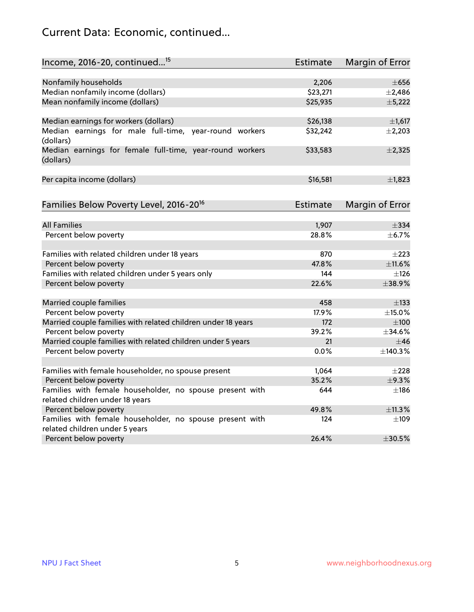#### Current Data: Economic, continued...

| Income, 2016-20, continued <sup>15</sup>                              | <b>Estimate</b> | <b>Margin of Error</b> |
|-----------------------------------------------------------------------|-----------------|------------------------|
|                                                                       |                 |                        |
| Nonfamily households                                                  | 2,206           | $\pm 656$              |
| Median nonfamily income (dollars)                                     | \$23,271        | $\pm$ 2,486            |
| Mean nonfamily income (dollars)                                       | \$25,935        | ±5,222                 |
| Median earnings for workers (dollars)                                 | \$26,138        | $\pm$ 1,617            |
| Median earnings for male full-time, year-round workers                | \$32,242        | $\pm$ 2,203            |
| (dollars)                                                             |                 |                        |
| Median earnings for female full-time, year-round workers<br>(dollars) | \$33,583        | $\pm 2,325$            |
| Per capita income (dollars)                                           | \$16,581        | ±1,823                 |
|                                                                       | Estimate        |                        |
| Families Below Poverty Level, 2016-20 <sup>16</sup>                   |                 | <b>Margin of Error</b> |
| <b>All Families</b>                                                   | 1,907           | $\pm$ 334              |
| Percent below poverty                                                 | 28.8%           | ±6.7%                  |
|                                                                       |                 |                        |
| Families with related children under 18 years                         | 870             | $\pm 223$              |
| Percent below poverty                                                 | 47.8%           | ±11.6%                 |
| Families with related children under 5 years only                     | 144             | $\pm$ 126              |
| Percent below poverty                                                 | 22.6%           | ±38.9%                 |
| Married couple families                                               | 458             | $\pm$ 133              |
| Percent below poverty                                                 | 17.9%           | $\pm$ 15.0%            |
| Married couple families with related children under 18 years          | 172             | $\pm 100$              |
| Percent below poverty                                                 | 39.2%           | ±34.6%                 |
| Married couple families with related children under 5 years           | 21              | $\pm$ 46               |
| Percent below poverty                                                 | $0.0\%$         | ±140.3%                |
|                                                                       |                 |                        |
| Families with female householder, no spouse present                   | 1,064           | $\pm 228$              |
| Percent below poverty                                                 | 35.2%           | ±9.3%                  |
| Families with female householder, no spouse present with              | 644             | $\pm$ 186              |
| related children under 18 years                                       |                 |                        |
| Percent below poverty                                                 | 49.8%           | ±11.3%                 |
| Families with female householder, no spouse present with              | 124             | $\pm$ 109              |
| related children under 5 years                                        |                 |                        |
| Percent below poverty                                                 | 26.4%           | ±30.5%                 |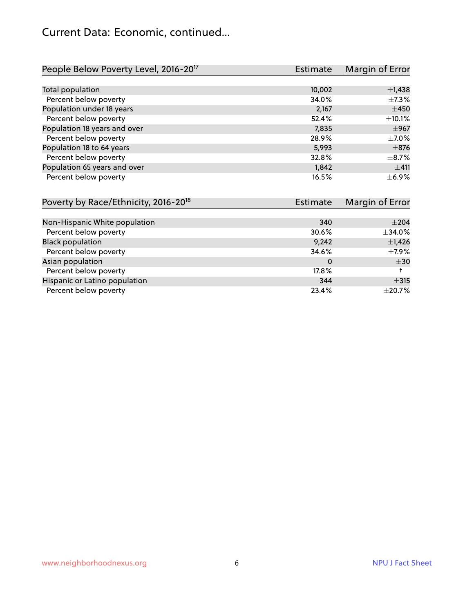#### Current Data: Economic, continued...

| People Below Poverty Level, 2016-20 <sup>17</sup> | Estimate | Margin of Error |
|---------------------------------------------------|----------|-----------------|
|                                                   |          |                 |
| Total population                                  | 10,002   | $\pm$ 1,438     |
| Percent below poverty                             | 34.0%    | $\pm$ 7.3%      |
| Population under 18 years                         | 2,167    | $\pm 450$       |
| Percent below poverty                             | 52.4%    | $\pm$ 10.1%     |
| Population 18 years and over                      | 7,835    | $\pm$ 967       |
| Percent below poverty                             | 28.9%    | $\pm$ 7.0%      |
| Population 18 to 64 years                         | 5,993    | $\pm$ 876       |
| Percent below poverty                             | 32.8%    | $\pm$ 8.7%      |
| Population 65 years and over                      | 1,842    | ±411            |
| Percent below poverty                             | 16.5%    | $\pm$ 6.9%      |

| Poverty by Race/Ethnicity, 2016-20 <sup>18</sup><br>Estimate |       | Margin of Error |
|--------------------------------------------------------------|-------|-----------------|
|                                                              |       |                 |
| Non-Hispanic White population                                | 340   | $\pm 204$       |
| Percent below poverty                                        | 30.6% | ±34.0%          |
| <b>Black population</b>                                      | 9,242 | $\pm$ 1,426     |
| Percent below poverty                                        | 34.6% | $\pm$ 7.9%      |
| Asian population                                             | 0     | $\pm$ 30        |
| Percent below poverty                                        | 17.8% |                 |
| Hispanic or Latino population                                | 344   | $\pm$ 315       |
| Percent below poverty                                        | 23.4% | $\pm 20.7\%$    |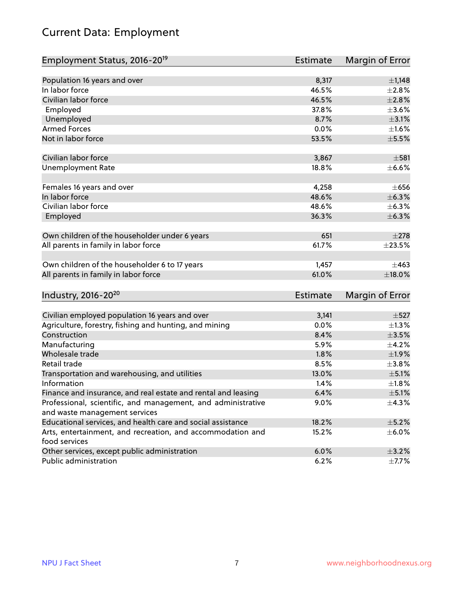### Current Data: Employment

| Employment Status, 2016-20 <sup>19</sup>                      | <b>Estimate</b> | Margin of Error |
|---------------------------------------------------------------|-----------------|-----------------|
|                                                               |                 |                 |
| Population 16 years and over                                  | 8,317           | $\pm$ 1,148     |
| In labor force                                                | 46.5%           | ±2.8%           |
| Civilian labor force                                          | 46.5%           | $\pm 2.8\%$     |
| Employed                                                      | 37.8%           | $\pm$ 3.6%      |
| Unemployed                                                    | 8.7%            | $\pm$ 3.1%      |
| <b>Armed Forces</b>                                           | 0.0%            | $\pm1.6\%$      |
| Not in labor force                                            | 53.5%           | $\pm$ 5.5%      |
|                                                               |                 |                 |
| Civilian labor force                                          | 3,867           | $\pm$ 581       |
| <b>Unemployment Rate</b>                                      | 18.8%           | $\pm$ 6.6%      |
| Females 16 years and over                                     | 4,258           | $\pm 656$       |
| In labor force                                                | 48.6%           | ±6.3%           |
| Civilian labor force                                          | 48.6%           | $\pm$ 6.3%      |
| Employed                                                      | 36.3%           | $\pm$ 6.3%      |
|                                                               |                 |                 |
| Own children of the householder under 6 years                 | 651             | $\pm 278$       |
| All parents in family in labor force                          | 61.7%           | $\pm 23.5\%$    |
|                                                               |                 |                 |
| Own children of the householder 6 to 17 years                 | 1,457           | $\pm 463$       |
| All parents in family in labor force                          | 61.0%           | ±18.0%          |
|                                                               |                 |                 |
| Industry, 2016-20 <sup>20</sup>                               | Estimate        | Margin of Error |
|                                                               |                 |                 |
| Civilian employed population 16 years and over                | 3,141           | $\pm$ 527       |
| Agriculture, forestry, fishing and hunting, and mining        | 0.0%            | $\pm$ 1.3%      |
| Construction                                                  | 8.4%            | $\pm 3.5\%$     |
| Manufacturing                                                 | 5.9%            | $\pm$ 4.2%      |
| Wholesale trade                                               | 1.8%            | ±1.9%           |
| Retail trade                                                  | 8.5%            | ±3.8%           |
| Transportation and warehousing, and utilities                 | 13.0%           | $\pm$ 5.1%      |
| Information                                                   | 1.4%            | ±1.8%           |
| Finance and insurance, and real estate and rental and leasing | 6.4%            | $\pm$ 5.1%      |
| Professional, scientific, and management, and administrative  | 9.0%            | ±4.3%           |
| and waste management services                                 |                 |                 |
| Educational services, and health care and social assistance   | 18.2%           | $\pm$ 5.2%      |
| Arts, entertainment, and recreation, and accommodation and    | 15.2%           | $\pm$ 6.0%      |
| food services                                                 |                 |                 |
| Other services, except public administration                  | 6.0%            | $\pm$ 3.2%      |
| Public administration                                         | 6.2%            | $\pm$ 7.7%      |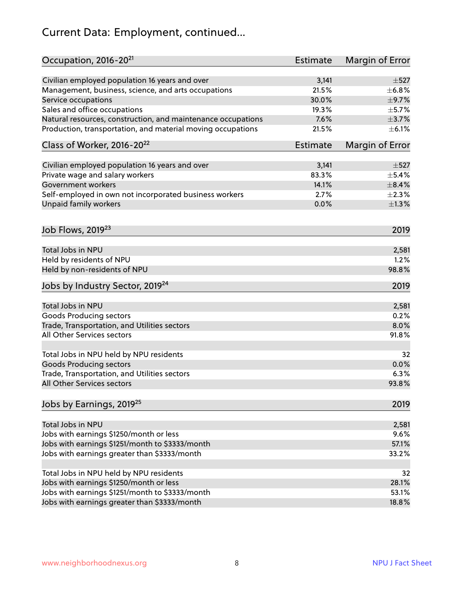#### Current Data: Employment, continued...

| Occupation, 2016-20 <sup>21</sup>                            | Estimate        | Margin of Error |
|--------------------------------------------------------------|-----------------|-----------------|
| Civilian employed population 16 years and over               | 3,141           | $\pm$ 527       |
| Management, business, science, and arts occupations          | 21.5%           | $\pm$ 6.8%      |
| Service occupations                                          | 30.0%           | $\pm$ 9.7%      |
| Sales and office occupations                                 | 19.3%           | $\pm$ 5.7%      |
| Natural resources, construction, and maintenance occupations | 7.6%            | $\pm$ 3.7%      |
| Production, transportation, and material moving occupations  | 21.5%           | $\pm$ 6.1%      |
| Class of Worker, 2016-20 <sup>22</sup>                       | <b>Estimate</b> | Margin of Error |
| Civilian employed population 16 years and over               | 3,141           | $\pm$ 527       |
| Private wage and salary workers                              | 83.3%           | $\pm$ 5.4%      |
| <b>Government workers</b>                                    | 14.1%           | $\pm$ 8.4%      |
| Self-employed in own not incorporated business workers       | 2.7%            | $\pm 2.3\%$     |
| Unpaid family workers                                        | 0.0%            | $\pm 1.3\%$     |
| Job Flows, 2019 <sup>23</sup>                                |                 | 2019            |
| Total Jobs in NPU                                            |                 | 2,581           |
| Held by residents of NPU                                     |                 | 1.2%            |
| Held by non-residents of NPU                                 |                 | 98.8%           |
| Jobs by Industry Sector, 2019 <sup>24</sup>                  |                 | 2019            |
|                                                              |                 |                 |
| Total Jobs in NPU                                            |                 | 2,581           |
| <b>Goods Producing sectors</b>                               |                 | 0.2%            |
| Trade, Transportation, and Utilities sectors                 |                 | 8.0%            |
| All Other Services sectors                                   |                 | 91.8%           |
| Total Jobs in NPU held by NPU residents                      |                 | 32              |
| <b>Goods Producing sectors</b>                               |                 | 0.0%            |
| Trade, Transportation, and Utilities sectors                 |                 | 6.3%            |
| All Other Services sectors                                   |                 | 93.8%           |
| Jobs by Earnings, 2019 <sup>25</sup>                         |                 | 2019            |
| Total Jobs in NPU                                            |                 | 2,581           |
| Jobs with earnings \$1250/month or less                      |                 | 9.6%            |
| Jobs with earnings \$1251/month to \$3333/month              |                 | 57.1%           |
| Jobs with earnings greater than \$3333/month                 |                 | 33.2%           |
|                                                              |                 |                 |
| Total Jobs in NPU held by NPU residents                      |                 | 32              |
| Jobs with earnings \$1250/month or less                      |                 | 28.1%           |
| Jobs with earnings \$1251/month to \$3333/month              |                 | 53.1%           |
| Jobs with earnings greater than \$3333/month                 |                 | 18.8%           |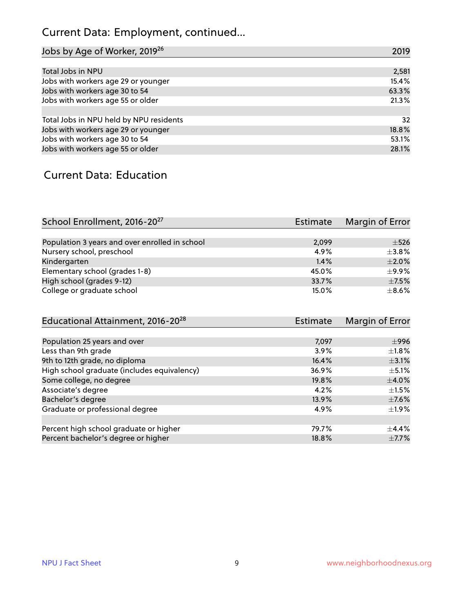#### Current Data: Employment, continued...

| Jobs by Age of Worker, 2019 <sup>26</sup> | 2019  |
|-------------------------------------------|-------|
|                                           |       |
| Total Jobs in NPU                         | 2,581 |
| Jobs with workers age 29 or younger       | 15.4% |
| Jobs with workers age 30 to 54            | 63.3% |
| Jobs with workers age 55 or older         | 21.3% |
|                                           |       |
| Total Jobs in NPU held by NPU residents   | 32    |
| Jobs with workers age 29 or younger       | 18.8% |
| Jobs with workers age 30 to 54            | 53.1% |
| Jobs with workers age 55 or older         | 28.1% |

#### Current Data: Education

| School Enrollment, 2016-20 <sup>27</sup>       | Estimate | Margin of Error |
|------------------------------------------------|----------|-----------------|
|                                                |          |                 |
| Population 3 years and over enrolled in school | 2,099    | $\pm$ 526       |
| Nursery school, preschool                      | 4.9%     | $\pm$ 3.8%      |
| Kindergarten                                   | 1.4%     | $+2.0%$         |
| Elementary school (grades 1-8)                 | 45.0%    | $+9.9%$         |
| High school (grades 9-12)                      | 33.7%    | $\pm$ 7.5%      |
| College or graduate school                     | 15.0%    | $\pm$ 8.6%      |

| Educational Attainment, 2016-20 <sup>28</sup> | <b>Estimate</b> | Margin of Error |
|-----------------------------------------------|-----------------|-----------------|
|                                               |                 |                 |
| Population 25 years and over                  | 7,097           | $\pm$ 996       |
| Less than 9th grade                           | 3.9%            | $\pm 1.8\%$     |
| 9th to 12th grade, no diploma                 | 16.4%           | $\pm$ 3.1%      |
| High school graduate (includes equivalency)   | 36.9%           | $\pm$ 5.1%      |
| Some college, no degree                       | 19.8%           | $\pm$ 4.0%      |
| Associate's degree                            | 4.2%            | $\pm 1.5\%$     |
| Bachelor's degree                             | 13.9%           | $\pm$ 7.6%      |
| Graduate or professional degree               | 4.9%            | $\pm 1.9\%$     |
|                                               |                 |                 |
| Percent high school graduate or higher        | 79.7%           | $\pm$ 4.4%      |
| Percent bachelor's degree or higher           | 18.8%           | $\pm$ 7.7%      |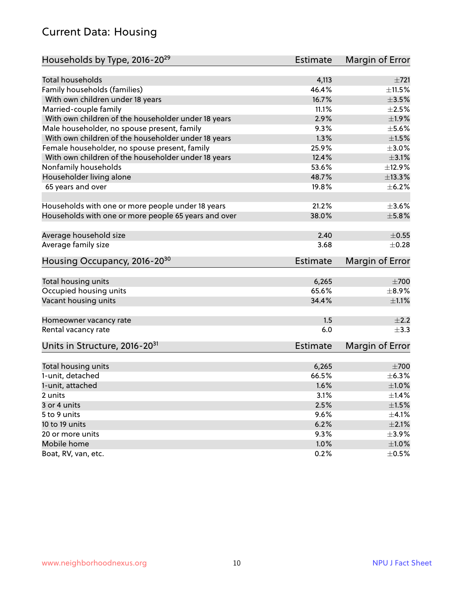#### Current Data: Housing

| Households by Type, 2016-20 <sup>29</sup>            | <b>Estimate</b> | Margin of Error |
|------------------------------------------------------|-----------------|-----------------|
|                                                      |                 |                 |
| <b>Total households</b>                              | 4,113           | $\pm 721$       |
| Family households (families)                         | 46.4%           | $\pm$ 11.5%     |
| With own children under 18 years                     | 16.7%           | $\pm 3.5\%$     |
| Married-couple family                                | 11.1%           | $\pm 2.5\%$     |
| With own children of the householder under 18 years  | 2.9%            | ±1.9%           |
| Male householder, no spouse present, family          | 9.3%            | $\pm$ 5.6%      |
| With own children of the householder under 18 years  | 1.3%            | $\pm 1.5\%$     |
| Female householder, no spouse present, family        | 25.9%           | $\pm 3.0\%$     |
| With own children of the householder under 18 years  | 12.4%           | $\pm$ 3.1%      |
| Nonfamily households                                 | 53.6%           | ±12.9%          |
| Householder living alone                             | 48.7%           | ±13.3%          |
| 65 years and over                                    | 19.8%           | $\pm$ 6.2%      |
|                                                      |                 |                 |
| Households with one or more people under 18 years    | 21.2%           | $\pm 3.6\%$     |
| Households with one or more people 65 years and over | 38.0%           | $\pm$ 5.8%      |
| Average household size                               | 2.40            | $\pm$ 0.55      |
| Average family size                                  | 3.68            | $\pm$ 0.28      |
| Housing Occupancy, 2016-20 <sup>30</sup>             | <b>Estimate</b> | Margin of Error |
|                                                      |                 |                 |
|                                                      |                 |                 |
|                                                      |                 |                 |
| Total housing units                                  | 6,265           | $\pm 700$       |
| Occupied housing units                               | 65.6%           | $\pm$ 8.9%      |
| Vacant housing units                                 | 34.4%           | $\pm 1.1\%$     |
| Homeowner vacancy rate                               | 1.5             | $\pm 2.2$       |
| Rental vacancy rate                                  | 6.0             | $\pm$ 3.3       |
| Units in Structure, 2016-20 <sup>31</sup>            | <b>Estimate</b> | Margin of Error |
|                                                      |                 |                 |
| Total housing units                                  | 6,265           | $\pm 700$       |
| 1-unit, detached                                     | 66.5%           | $\pm$ 6.3%      |
| 1-unit, attached                                     | 1.6%            | $\pm1.0\%$      |
| 2 units                                              | 3.1%            | $\pm$ 1.4%      |
| 3 or 4 units                                         | 2.5%            | $\pm 1.5\%$     |
| 5 to 9 units                                         | 9.6%            | $\pm$ 4.1%      |
| 10 to 19 units                                       | 6.2%            | $\pm 2.1\%$     |
| 20 or more units                                     | 9.3%            | $\pm$ 3.9%      |
| Mobile home                                          | 1.0%            | $\pm 1.0\%$     |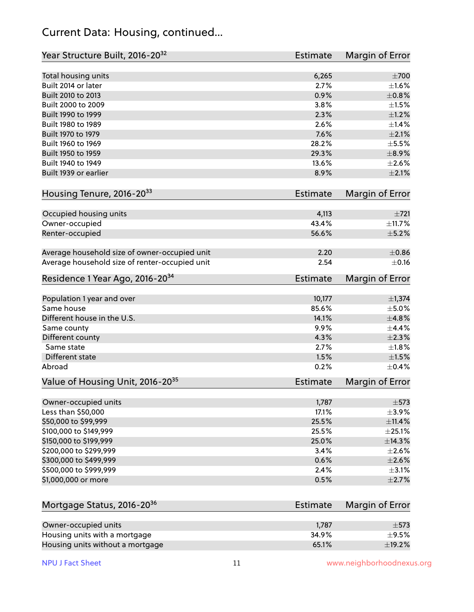#### Current Data: Housing, continued...

| Year Structure Built, 2016-20 <sup>32</sup>    | Estimate       | Margin of Error |
|------------------------------------------------|----------------|-----------------|
| Total housing units                            | 6,265          | $\pm 700$       |
| Built 2014 or later                            | 2.7%           | $\pm 1.6\%$     |
| Built 2010 to 2013                             | 0.9%           | $\pm$ 0.8%      |
| Built 2000 to 2009                             | 3.8%           | $\pm 1.5\%$     |
| Built 1990 to 1999                             | 2.3%           | $\pm 1.2\%$     |
| Built 1980 to 1989                             | 2.6%           | $\pm 1.4\%$     |
| Built 1970 to 1979                             | 7.6%           | $\pm 2.1\%$     |
| Built 1960 to 1969                             | 28.2%          | $\pm$ 5.5%      |
| Built 1950 to 1959                             | 29.3%          | $\pm$ 8.9%      |
| Built 1940 to 1949                             | 13.6%          | $\pm 2.6\%$     |
| Built 1939 or earlier                          | 8.9%           | $\pm 2.1\%$     |
| Housing Tenure, 2016-2033                      | Estimate       | Margin of Error |
|                                                |                | ±721            |
| Occupied housing units                         | 4,113          | ±11.7%          |
| Owner-occupied                                 | 43.4%<br>56.6% | $\pm$ 5.2%      |
| Renter-occupied                                |                |                 |
| Average household size of owner-occupied unit  | 2.20           | $\pm$ 0.86      |
| Average household size of renter-occupied unit | 2.54           | $\pm$ 0.16      |
| Residence 1 Year Ago, 2016-20 <sup>34</sup>    | Estimate       | Margin of Error |
| Population 1 year and over                     | 10,177         | ±1,374          |
| Same house                                     | 85.6%          | $\pm$ 5.0%      |
| Different house in the U.S.                    | 14.1%          | ±4.8%           |
| Same county                                    | 9.9%           | $\pm$ 4.4%      |
| Different county                               | 4.3%           | $\pm 2.3\%$     |
| Same state                                     | 2.7%           | $\pm 1.8\%$     |
| Different state                                | 1.5%           | $\pm 1.5\%$     |
| Abroad                                         | 0.2%           | $\pm$ 0.4%      |
| Value of Housing Unit, 2016-20 <sup>35</sup>   | Estimate       | Margin of Error |
|                                                |                |                 |
| Owner-occupied units                           | 1,787          | $\pm$ 573       |
| Less than \$50,000                             | 17.1%          | $\pm$ 3.9%      |
| \$50,000 to \$99,999                           | 25.5%          | ±11.4%          |
| \$100,000 to \$149,999                         | 25.5%          | $\pm 25.1\%$    |
| \$150,000 to \$199,999                         | 25.0%          | ±14.3%          |
| \$200,000 to \$299,999                         | 3.4%           | $\pm 2.6\%$     |
| \$300,000 to \$499,999                         | 0.6%           | $\pm 2.6\%$     |
| \$500,000 to \$999,999                         | 2.4%           | $\pm$ 3.1%      |
| \$1,000,000 or more                            | 0.5%           | $\pm 2.7\%$     |
| Mortgage Status, 2016-20 <sup>36</sup>         | Estimate       | Margin of Error |
|                                                |                |                 |
| Owner-occupied units                           | 1,787          | $\pm$ 573       |
| Housing units with a mortgage                  | 34.9%          | $\pm$ 9.5%      |
| Housing units without a mortgage               | 65.1%          | ±19.2%          |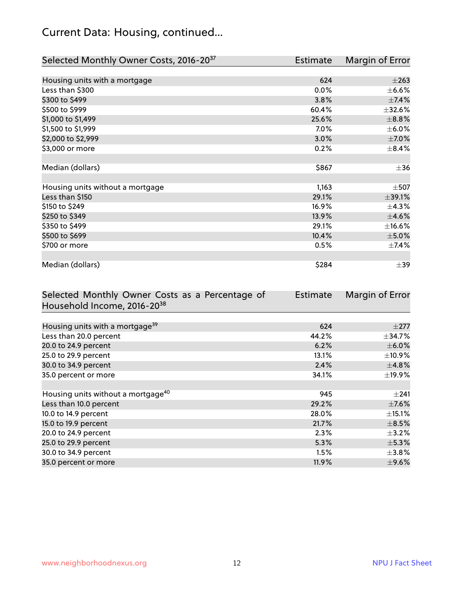#### Current Data: Housing, continued...

| Selected Monthly Owner Costs, 2016-20 <sup>37</sup> | Estimate | Margin of Error |
|-----------------------------------------------------|----------|-----------------|
|                                                     |          |                 |
| Housing units with a mortgage                       | 624      | $\pm 263$       |
| Less than \$300                                     | 0.0%     | $\pm$ 6.6%      |
| \$300 to \$499                                      | 3.8%     | $\pm$ 7.4%      |
| \$500 to \$999                                      | 60.4%    | $\pm$ 32.6%     |
| \$1,000 to \$1,499                                  | 25.6%    | $\pm$ 8.8%      |
| \$1,500 to \$1,999                                  | $7.0\%$  | $\pm$ 6.0%      |
| \$2,000 to \$2,999                                  | 3.0%     | $\pm$ 7.0%      |
| \$3,000 or more                                     | 0.2%     | $\pm$ 8.4%      |
|                                                     |          |                 |
| Median (dollars)                                    | \$867    | $\pm$ 36        |
|                                                     |          |                 |
| Housing units without a mortgage                    | 1,163    | $\pm$ 507       |
| Less than \$150                                     | 29.1%    | ±39.1%          |
| \$150 to \$249                                      | 16.9%    | ±4.3%           |
| \$250 to \$349                                      | 13.9%    | $\pm 4.6\%$     |
| \$350 to \$499                                      | 29.1%    | $\pm$ 16.6%     |
| \$500 to \$699                                      | 10.4%    | $\pm$ 5.0%      |
| \$700 or more                                       | 0.5%     | $\pm$ 7.4%      |
|                                                     |          |                 |
| Median (dollars)                                    | \$284    | $\pm$ 39        |

| Selected Monthly Owner Costs as a Percentage of | <b>Estimate</b> | Margin of Error |
|-------------------------------------------------|-----------------|-----------------|
| Household Income, 2016-20 <sup>38</sup>         |                 |                 |
|                                                 |                 |                 |
| Housing units with a mortgage <sup>39</sup>     | 624             | $\pm 277$       |
| Less than 20.0 percent                          | 44.2%           | $\pm$ 34.7%     |
| 20.0 to 24.9 percent                            | 6.2%            | $\pm$ 6.0%      |
| 25.0 to 29.9 percent                            | 13.1%           | $\pm$ 10.9%     |
| 30.0 to 34.9 percent                            | 2.4%            | $\pm$ 4.8%      |
| 35.0 percent or more                            | 34.1%           | $\pm$ 19.9%     |
|                                                 |                 |                 |
| Housing units without a mortgage <sup>40</sup>  | 945             | $\pm 241$       |
| Less than 10.0 percent                          | 29.2%           | $\pm$ 7.6%      |
| 10.0 to 14.9 percent                            | 28.0%           | $\pm$ 15.1%     |
| 15.0 to 19.9 percent                            | 21.7%           | $\pm$ 8.5%      |
| 20.0 to 24.9 percent                            | 2.3%            | $\pm$ 3.2%      |
| 25.0 to 29.9 percent                            | 5.3%            | $\pm$ 5.3%      |
| 30.0 to 34.9 percent                            | $1.5\%$         | $\pm 3.8\%$     |
| 35.0 percent or more                            | $11.9\%$        | $\pm$ 9.6%      |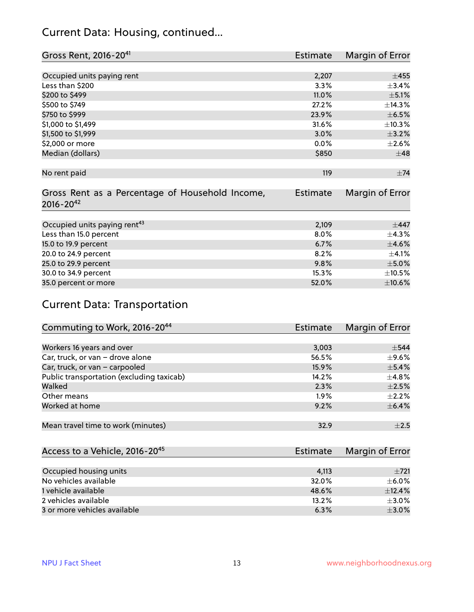#### Current Data: Housing, continued...

| Gross Rent, 2016-20 <sup>41</sup>               | <b>Estimate</b> | Margin of Error |
|-------------------------------------------------|-----------------|-----------------|
|                                                 |                 |                 |
| Occupied units paying rent                      | 2,207           | $+455$          |
| Less than \$200                                 | 3.3%            | $\pm$ 3.4%      |
| \$200 to \$499                                  | 11.0%           | $\pm$ 5.1%      |
| \$500 to \$749                                  | 27.2%           | ±14.3%          |
| \$750 to \$999                                  | 23.9%           | $\pm$ 6.5%      |
| \$1,000 to \$1,499                              | 31.6%           | ±10.3%          |
| \$1,500 to \$1,999                              | 3.0%            | $\pm$ 3.2%      |
| \$2,000 or more                                 | 0.0%            | $\pm 2.6\%$     |
| Median (dollars)                                | \$850           | $\pm$ 48        |
|                                                 |                 |                 |
| No rent paid                                    | 119             | $\pm$ 74        |
|                                                 |                 |                 |
| Gross Rent as a Percentage of Household Income, | <b>Estimate</b> | Margin of Error |
| $2016 - 20^{42}$                                |                 |                 |
|                                                 |                 |                 |
| Occupied units paying rent <sup>43</sup>        | 2,109           | $\pm$ 447       |
| Less than 15.0 percent                          | 8.0%            | ±4.3%           |
| 15.0 to 19.9 percent                            | 6.7%            | $\pm$ 4.6%      |
| 20.0 to 24.9 percent                            | 8.2%            | $\pm$ 4.1%      |
| 25.0 to 29.9 percent                            | 9.8%            | $\pm$ 5.0%      |
| 30.0 to 34.9 percent                            | 15.3%           | $\pm$ 10.5%     |
| 35.0 percent or more                            | 52.0%           | $\pm$ 10.6%     |

#### Current Data: Transportation

| Commuting to Work, 2016-20 <sup>44</sup>  | <b>Estimate</b> | Margin of Error |
|-------------------------------------------|-----------------|-----------------|
|                                           |                 |                 |
| Workers 16 years and over                 | 3,003           | $\pm$ 544       |
| Car, truck, or van - drove alone          | 56.5%           | $\pm$ 9.6%      |
| Car, truck, or van - carpooled            | 15.9%           | $\pm$ 5.4%      |
| Public transportation (excluding taxicab) | 14.2%           | $\pm$ 4.8%      |
| Walked                                    | 2.3%            | $\pm 2.5\%$     |
| Other means                               | 1.9%            | $\pm 2.2\%$     |
| Worked at home                            | 9.2%            | $\pm$ 6.4%      |
|                                           |                 |                 |
| Mean travel time to work (minutes)        | 32.9            | $\pm 2.5$       |

| Access to a Vehicle, 2016-20 <sup>45</sup> | Estimate | Margin of Error |
|--------------------------------------------|----------|-----------------|
|                                            |          |                 |
| Occupied housing units                     | 4,113    | $\pm 721$       |
| No vehicles available                      | 32.0%    | $+6.0%$         |
| 1 vehicle available                        | 48.6%    | ±12.4%          |
| 2 vehicles available                       | 13.2%    | $+3.0%$         |
| 3 or more vehicles available               | 6.3%     | $+3.0%$         |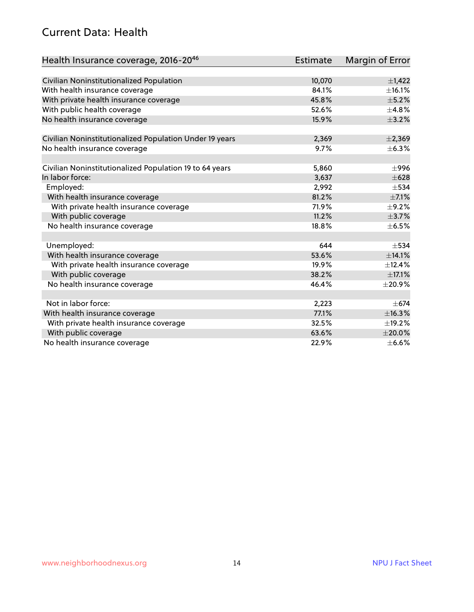#### Current Data: Health

| Health Insurance coverage, 2016-2046                    | <b>Estimate</b> | Margin of Error |
|---------------------------------------------------------|-----------------|-----------------|
|                                                         |                 |                 |
| Civilian Noninstitutionalized Population                | 10,070          | $\pm$ 1,422     |
| With health insurance coverage                          | 84.1%           | ±16.1%          |
| With private health insurance coverage                  | 45.8%           | $\pm$ 5.2%      |
| With public health coverage                             | 52.6%           | $\pm$ 4.8%      |
| No health insurance coverage                            | 15.9%           | $\pm$ 3.2%      |
| Civilian Noninstitutionalized Population Under 19 years | 2,369           | $\pm 2,369$     |
| No health insurance coverage                            | 9.7%            | ±6.3%           |
|                                                         |                 |                 |
| Civilian Noninstitutionalized Population 19 to 64 years | 5,860           | $\pm$ 996       |
| In labor force:                                         | 3,637           | $\pm 628$       |
| Employed:                                               | 2,992           | $\pm$ 534       |
| With health insurance coverage                          | 81.2%           | $\pm$ 7.1%      |
| With private health insurance coverage                  | 71.9%           | $\pm$ 9.2%      |
| With public coverage                                    | 11.2%           | $\pm$ 3.7%      |
| No health insurance coverage                            | 18.8%           | $\pm$ 6.5%      |
|                                                         |                 |                 |
| Unemployed:                                             | 644             | $\pm$ 534       |
| With health insurance coverage                          | 53.6%           | ±14.1%          |
| With private health insurance coverage                  | 19.9%           | ±12.4%          |
| With public coverage                                    | 38.2%           | $\pm$ 17.1%     |
| No health insurance coverage                            | 46.4%           | $\pm 20.9\%$    |
|                                                         |                 |                 |
| Not in labor force:                                     | 2,223           | $\pm$ 674       |
| With health insurance coverage                          | 77.1%           | ±16.3%          |
| With private health insurance coverage                  | 32.5%           | ±19.2%          |
| With public coverage                                    | 63.6%           | $\pm 20.0\%$    |
| No health insurance coverage                            | 22.9%           | $\pm$ 6.6%      |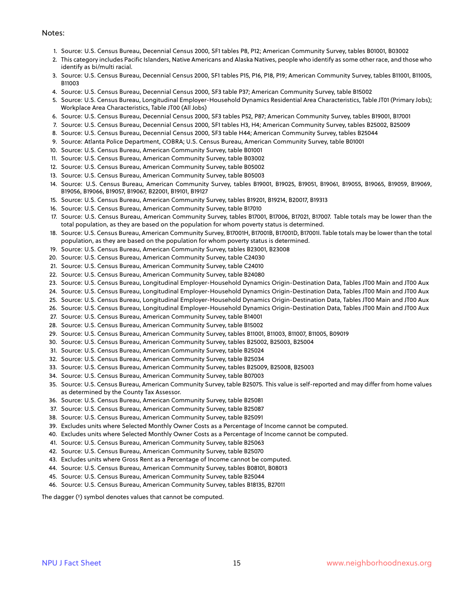#### Notes:

- 1. Source: U.S. Census Bureau, Decennial Census 2000, SF1 tables P8, P12; American Community Survey, tables B01001, B03002
- 2. This category includes Pacific Islanders, Native Americans and Alaska Natives, people who identify as some other race, and those who identify as bi/multi racial.
- 3. Source: U.S. Census Bureau, Decennial Census 2000, SF1 tables P15, P16, P18, P19; American Community Survey, tables B11001, B11005, B11003
- 4. Source: U.S. Census Bureau, Decennial Census 2000, SF3 table P37; American Community Survey, table B15002
- 5. Source: U.S. Census Bureau, Longitudinal Employer-Household Dynamics Residential Area Characteristics, Table JT01 (Primary Jobs); Workplace Area Characteristics, Table JT00 (All Jobs)
- 6. Source: U.S. Census Bureau, Decennial Census 2000, SF3 tables P52, P87; American Community Survey, tables B19001, B17001
- 7. Source: U.S. Census Bureau, Decennial Census 2000, SF1 tables H3, H4; American Community Survey, tables B25002, B25009
- 8. Source: U.S. Census Bureau, Decennial Census 2000, SF3 table H44; American Community Survey, tables B25044
- 9. Source: Atlanta Police Department, COBRA; U.S. Census Bureau, American Community Survey, table B01001
- 10. Source: U.S. Census Bureau, American Community Survey, table B01001
- 11. Source: U.S. Census Bureau, American Community Survey, table B03002
- 12. Source: U.S. Census Bureau, American Community Survey, table B05002
- 13. Source: U.S. Census Bureau, American Community Survey, table B05003
- 14. Source: U.S. Census Bureau, American Community Survey, tables B19001, B19025, B19051, B19061, B19055, B19065, B19059, B19069, B19056, B19066, B19057, B19067, B22001, B19101, B19127
- 15. Source: U.S. Census Bureau, American Community Survey, tables B19201, B19214, B20017, B19313
- 16. Source: U.S. Census Bureau, American Community Survey, table B17010
- 17. Source: U.S. Census Bureau, American Community Survey, tables B17001, B17006, B17021, B17007. Table totals may be lower than the total population, as they are based on the population for whom poverty status is determined.
- 18. Source: U.S. Census Bureau, American Community Survey, B17001H, B17001B, B17001D, B17001I. Table totals may be lower than the total population, as they are based on the population for whom poverty status is determined.
- 19. Source: U.S. Census Bureau, American Community Survey, tables B23001, B23008
- 20. Source: U.S. Census Bureau, American Community Survey, table C24030
- 21. Source: U.S. Census Bureau, American Community Survey, table C24010
- 22. Source: U.S. Census Bureau, American Community Survey, table B24080
- 23. Source: U.S. Census Bureau, Longitudinal Employer-Household Dynamics Origin-Destination Data, Tables JT00 Main and JT00 Aux
- 24. Source: U.S. Census Bureau, Longitudinal Employer-Household Dynamics Origin-Destination Data, Tables JT00 Main and JT00 Aux
- 25. Source: U.S. Census Bureau, Longitudinal Employer-Household Dynamics Origin-Destination Data, Tables JT00 Main and JT00 Aux
- 26. Source: U.S. Census Bureau, Longitudinal Employer-Household Dynamics Origin-Destination Data, Tables JT00 Main and JT00 Aux
- 27. Source: U.S. Census Bureau, American Community Survey, table B14001
- 28. Source: U.S. Census Bureau, American Community Survey, table B15002
- 29. Source: U.S. Census Bureau, American Community Survey, tables B11001, B11003, B11007, B11005, B09019
- 30. Source: U.S. Census Bureau, American Community Survey, tables B25002, B25003, B25004
- 31. Source: U.S. Census Bureau, American Community Survey, table B25024
- 32. Source: U.S. Census Bureau, American Community Survey, table B25034
- 33. Source: U.S. Census Bureau, American Community Survey, tables B25009, B25008, B25003
- 34. Source: U.S. Census Bureau, American Community Survey, table B07003
- 35. Source: U.S. Census Bureau, American Community Survey, table B25075. This value is self-reported and may differ from home values as determined by the County Tax Assessor.
- 36. Source: U.S. Census Bureau, American Community Survey, table B25081
- 37. Source: U.S. Census Bureau, American Community Survey, table B25087
- 38. Source: U.S. Census Bureau, American Community Survey, table B25091
- 39. Excludes units where Selected Monthly Owner Costs as a Percentage of Income cannot be computed.
- 40. Excludes units where Selected Monthly Owner Costs as a Percentage of Income cannot be computed.
- 41. Source: U.S. Census Bureau, American Community Survey, table B25063
- 42. Source: U.S. Census Bureau, American Community Survey, table B25070
- 43. Excludes units where Gross Rent as a Percentage of Income cannot be computed.
- 44. Source: U.S. Census Bureau, American Community Survey, tables B08101, B08013
- 45. Source: U.S. Census Bureau, American Community Survey, table B25044
- 46. Source: U.S. Census Bureau, American Community Survey, tables B18135, B27011

The dagger (†) symbol denotes values that cannot be computed.